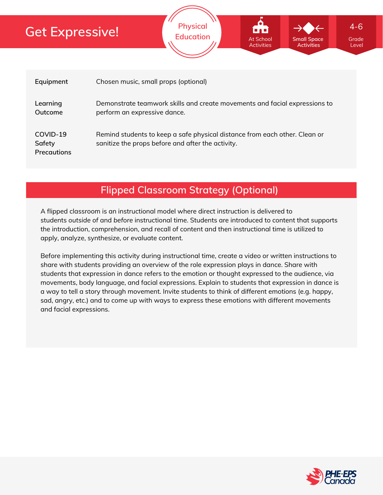

**Physical**

**Education** At School Small Space Grade

At School

**Small Space Activities**

Level

4-6

## **Flipped Classroom Strategy (Optional)**

A flipped classroom is an instructional model where direct instruction is delivered to students *outside of* and *before* instructional time. Students are introduced to content that supports the introduction, comprehension, and recall of content and then instructional time is utilized to apply, analyze, synthesize, or evaluate content.

Before implementing this activity during instructional time, create a video or written instructions to share with students providing an overview of the role expression plays in dance. Share with students that expression in dance refers to the emotion or thought expressed to the audience, via movements, body language, and facial expressions. Explain to students that expression in dance is a way to tell a story through movement. Invite students to think of different emotions (e.g. happy, sad, angry, etc.) and to come up with ways to express these emotions with different movements and facial expressions.

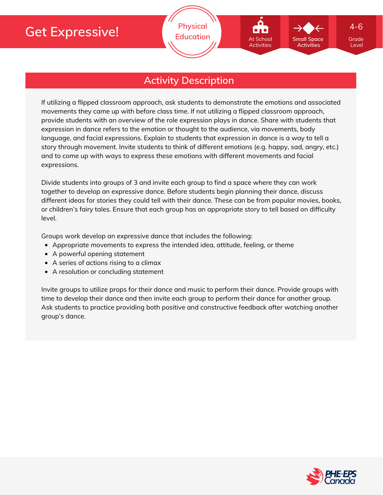

### **Activity Description**

If utilizing a flipped classroom approach, ask students to demonstrate the emotions and associated movements they came up with before class time. If not utilizing a flipped classroom approach, provide students with an overview of the role expression plays in dance. Share with students that expression in dance refers to the emotion or thought to the audience, via movements, body language, and facial expressions. Explain to students that expression in dance is a way to tell a story through movement. Invite students to think of different emotions (e.g. happy, sad, angry, etc.) and to come up with ways to express these emotions with different movements and facial expressions.

Divide students into groups of 3 and invite each group to find a space where they can work together to develop an expressive dance. Before students begin planning their dance, discuss different ideas for stories they could tell with their dance. These can be from popular movies, books, or children's fairy tales. Ensure that each group has an appropriate story to tell based on difficulty level.

Groups work develop an expressive dance that includes the following:

- Appropriate movements to express the intended idea, attitude, feeling, or theme
- A powerful opening statement
- A series of actions rising to a climax
- A resolution or concluding statement

Invite groups to utilize props for their dance and music to perform their dance. Provide groups with time to develop their dance and then invite each group to perform their dance for another group. Ask students to practice providing both positive and constructive feedback after watching another group's dance.

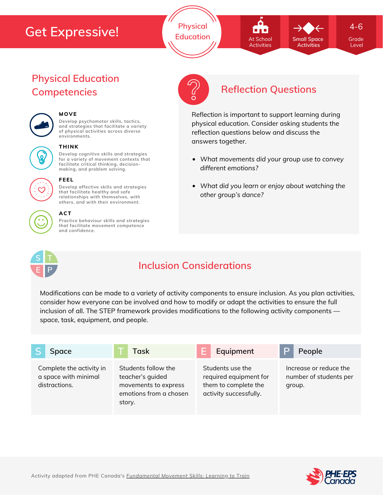**Physical Education Grade At School Grade** Small Space Grade

**Small Space** At School Activities

*What movements did your group use to convey*

Reflection is important to support learning during physical education. Consider asking students the

reflection questions below and discuss the

*What did you learn or enjoy about watching the*

*different emotions?*

answers together.

*other group's dance?*

**Activities**

4-6

Level

## **Physical Education Competencies Reflection Questions**



### **MOVE**

**Develop psychomotor skills, tactics, and strategies that facilitate a variety of physical activities across diverse environments.**



#### **THINK**

**Develop cognitive skills and strategies for a variety of movement contexts that facilitate critical thinking, decision making, and problem solving.**

**Develop affective skills and strategies that facilitate healthy and safe relationships with themselves, with others, and with their environment.**



### **ACT**

**FEEL**

**Practice behaviour skills and strategies that facilitate movement competence and confidence.**



## **Inclusion Considerations**

Modifications can be made to a variety of activity components to ensure inclusion. As you plan activities, consider how everyone can be involved and how to modify or adapt the activities to ensure the full inclusion of all. The STEP framework provides modifications to the following activity components space, task, equipment, and people.